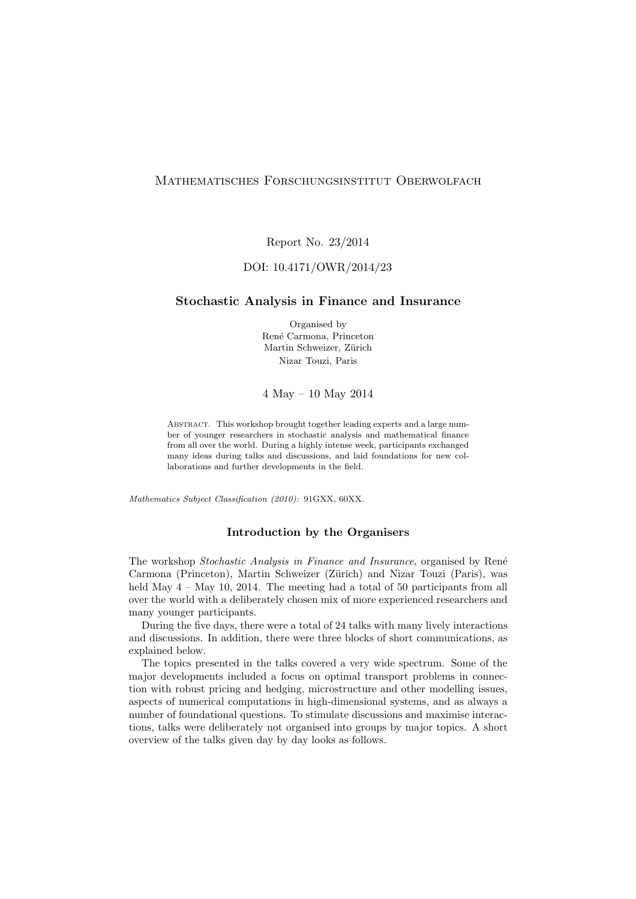## Mathematisches Forschungsinstitut Oberwolfach

Report No. 23/2014

## DOI: 10.4171/OWR/2014/23

### Stochastic Analysis in Finance and Insurance

Organised by Ren´e Carmona, Princeton Martin Schweizer, Zürich Nizar Touzi, Paris

4 May – 10 May 2014

ABSTRACT. This workshop brought together leading experts and a large number of younger researchers in stochastic analysis and mathematical finance from all over the world. During a highly intense week, participants exchanged many ideas during talks and discussions, and laid foundations for new collaborations and further developments in the field.

Mathematics Subject Classification (2010): 91GXX, 60XX.

#### Introduction by the Organisers

The workshop Stochastic Analysis in Finance and Insurance, organised by René Carmona (Princeton), Martin Schweizer (Zürich) and Nizar Touzi (Paris), was held May  $4 -$  May 10, 2014. The meeting had a total of 50 participants from all over the world with a deliberately chosen mix of more experienced researchers and many younger participants.

During the five days, there were a total of 24 talks with many lively interactions and discussions. In addition, there were three blocks of short communications, as explained below.

The topics presented in the talks covered a very wide spectrum. Some of the major developments included a focus on optimal transport problems in connection with robust pricing and hedging, microstructure and other modelling issues, aspects of numerical computations in high-dimensional systems, and as always a number of foundational questions. To stimulate discussions and maximise interactions, talks were deliberately not organised into groups by major topics. A short overview of the talks given day by day looks as follows.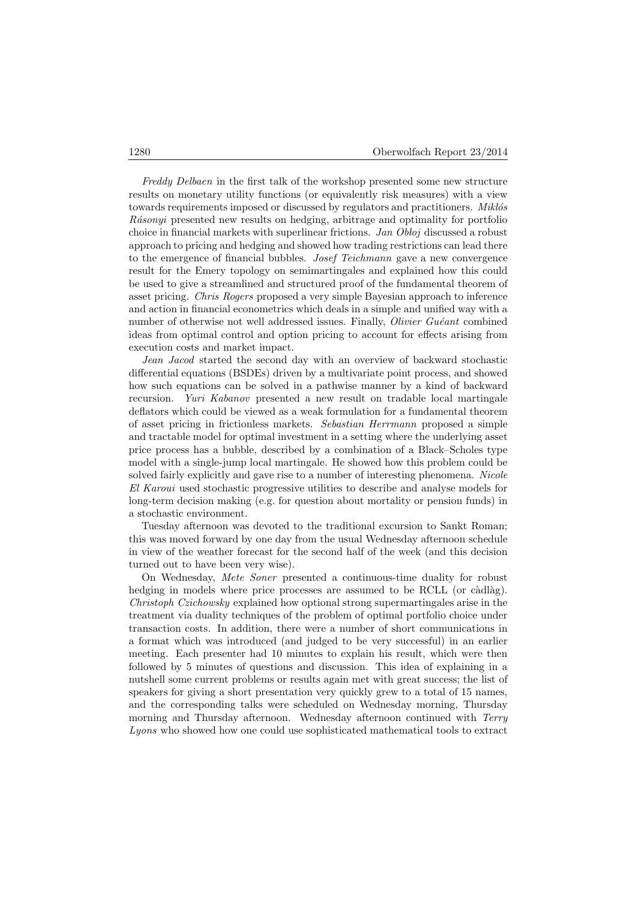Freddy Delbaen in the first talk of the workshop presented some new structure results on monetary utility functions (or equivalently risk measures) with a view towards requirements imposed or discussed by regulators and practitioners. *Miklós* Rásonyi presented new results on hedging, arbitrage and optimality for portfolio choice in financial markets with superlinear frictions. Jan Obloj discussed a robust approach to pricing and hedging and showed how trading restrictions can lead there to the emergence of financial bubbles. Josef Teichmann gave a new convergence result for the Emery topology on semimartingales and explained how this could be used to give a streamlined and structured proof of the fundamental theorem of asset pricing. Chris Rogers proposed a very simple Bayesian approach to inference and action in financial econometrics which deals in a simple and unified way with a number of otherwise not well addressed issues. Finally, *Olivier Guéant* combined ideas from optimal control and option pricing to account for effects arising from execution costs and market impact.

Jean Jacod started the second day with an overview of backward stochastic differential equations (BSDEs) driven by a multivariate point process, and showed how such equations can be solved in a pathwise manner by a kind of backward recursion. Yuri Kabanov presented a new result on tradable local martingale deflators which could be viewed as a weak formulation for a fundamental theorem of asset pricing in frictionless markets. Sebastian Herrmann proposed a simple and tractable model for optimal investment in a setting where the underlying asset price process has a bubble, described by a combination of a Black–Scholes type model with a single-jump local martingale. He showed how this problem could be solved fairly explicitly and gave rise to a number of interesting phenomena. Nicole El Karoui used stochastic progressive utilities to describe and analyse models for long-term decision making (e.g. for question about mortality or pension funds) in a stochastic environment.

Tuesday afternoon was devoted to the traditional excursion to Sankt Roman; this was moved forward by one day from the usual Wednesday afternoon schedule in view of the weather forecast for the second half of the week (and this decision turned out to have been very wise).

On Wednesday, Mete Soner presented a continuous-time duality for robust hedging in models where price processes are assumed to be RCLL (or càdlàg). Christoph Czichowsky explained how optional strong supermartingales arise in the treatment via duality techniques of the problem of optimal portfolio choice under transaction costs. In addition, there were a number of short communications in a format which was introduced (and judged to be very successful) in an earlier meeting. Each presenter had 10 minutes to explain his result, which were then followed by 5 minutes of questions and discussion. This idea of explaining in a nutshell some current problems or results again met with great success; the list of speakers for giving a short presentation very quickly grew to a total of 15 names, and the corresponding talks were scheduled on Wednesday morning, Thursday morning and Thursday afternoon. Wednesday afternoon continued with Terry Lyons who showed how one could use sophisticated mathematical tools to extract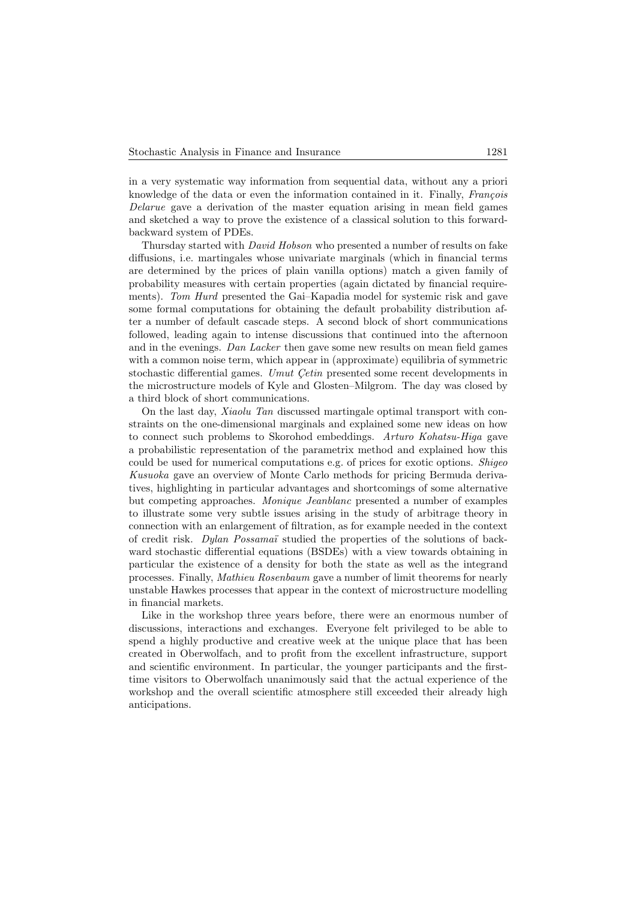in a very systematic way information from sequential data, without any a priori knowledge of the data or even the information contained in it. Finally, *François* Delarue gave a derivation of the master equation arising in mean field games and sketched a way to prove the existence of a classical solution to this forwardbackward system of PDEs.

Thursday started with David Hobson who presented a number of results on fake diffusions, i.e. martingales whose univariate marginals (which in financial terms are determined by the prices of plain vanilla options) match a given family of probability measures with certain properties (again dictated by financial requirements). Tom Hurd presented the Gai–Kapadia model for systemic risk and gave some formal computations for obtaining the default probability distribution after a number of default cascade steps. A second block of short communications followed, leading again to intense discussions that continued into the afternoon and in the evenings. Dan Lacker then gave some new results on mean field games with a common noise term, which appear in (approximate) equilibria of symmetric stochastic differential games. Umut Cetin presented some recent developments in the microstructure models of Kyle and Glosten–Milgrom. The day was closed by a third block of short communications.

On the last day, Xiaolu Tan discussed martingale optimal transport with constraints on the one-dimensional marginals and explained some new ideas on how to connect such problems to Skorohod embeddings. Arturo Kohatsu-Higa gave a probabilistic representation of the parametrix method and explained how this could be used for numerical computations e.g. of prices for exotic options. Shigeo Kusuoka gave an overview of Monte Carlo methods for pricing Bermuda derivatives, highlighting in particular advantages and shortcomings of some alternative but competing approaches. Monique Jeanblanc presented a number of examples to illustrate some very subtle issues arising in the study of arbitrage theory in connection with an enlargement of filtration, as for example needed in the context of credit risk. Dylan Possamaï studied the properties of the solutions of backward stochastic differential equations (BSDEs) with a view towards obtaining in particular the existence of a density for both the state as well as the integrand processes. Finally, Mathieu Rosenbaum gave a number of limit theorems for nearly unstable Hawkes processes that appear in the context of microstructure modelling in financial markets.

Like in the workshop three years before, there were an enormous number of discussions, interactions and exchanges. Everyone felt privileged to be able to spend a highly productive and creative week at the unique place that has been created in Oberwolfach, and to profit from the excellent infrastructure, support and scientific environment. In particular, the younger participants and the firsttime visitors to Oberwolfach unanimously said that the actual experience of the workshop and the overall scientific atmosphere still exceeded their already high anticipations.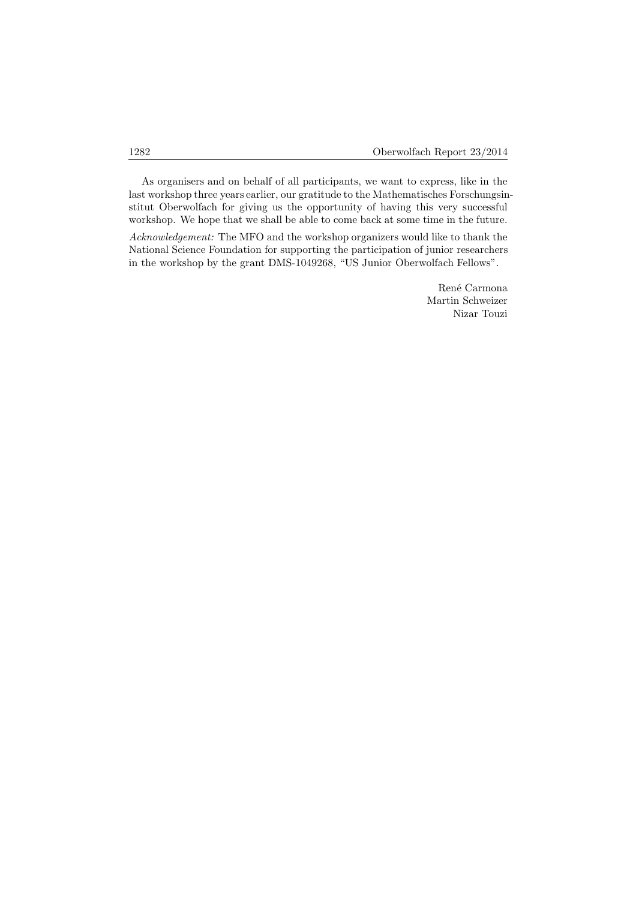As organisers and on behalf of all participants, we want to express, like in the last workshop three years earlier, our gratitude to the Mathematisches Forschungsinstitut Oberwolfach for giving us the opportunity of having this very successful workshop. We hope that we shall be able to come back at some time in the future.

Acknowledgement: The MFO and the workshop organizers would like to thank the National Science Foundation for supporting the participation of junior researchers in the workshop by the grant DMS-1049268, "US Junior Oberwolfach Fellows".

> René Carmona Martin Schweizer Nizar Touzi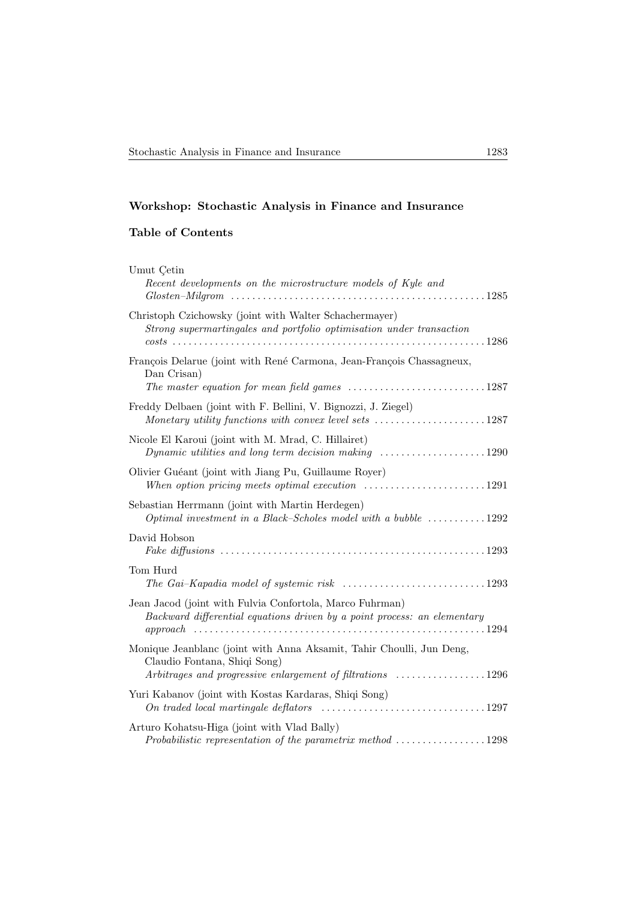# Workshop: Stochastic Analysis in Finance and Insurance

# Table of Contents

| Umut Cetin<br>Recent developments on the microstructure models of Kyle and                                                                                                                      |
|-------------------------------------------------------------------------------------------------------------------------------------------------------------------------------------------------|
| Christoph Czichowsky (joint with Walter Schachermayer)<br>Strong supermartingales and portfolio optimisation under transaction                                                                  |
| François Delarue (joint with René Carmona, Jean-François Chassagneux,<br>Dan Crisan)<br>The master equation for mean field games $\ldots \ldots \ldots \ldots \ldots \ldots \ldots \ldots 1287$ |
| Freddy Delbaen (joint with F. Bellini, V. Bignozzi, J. Ziegel)<br>Monetary utility functions with convex level sets 1287                                                                        |
| Nicole El Karoui (joint with M. Mrad, C. Hillairet)<br>Dynamic utilities and long term decision making $\ldots \ldots \ldots \ldots \ldots \ldots 1290$                                         |
| Olivier Guéant (joint with Jiang Pu, Guillaume Royer)<br>When option pricing meets optimal execution $\ldots \ldots \ldots \ldots \ldots \ldots 1291$                                           |
| Sebastian Herrmann (joint with Martin Herdegen)<br>Optimal investment in a Black–Scholes model with a bubble $\dots\dots\dots\dots 1292$                                                        |
| David Hobson                                                                                                                                                                                    |
| Tom Hurd                                                                                                                                                                                        |
| Jean Jacod (joint with Fulvia Confortola, Marco Fuhrman)<br>Backward differential equations driven by a point process: an elementary                                                            |
| Monique Jeanblanc (joint with Anna Aksamit, Tahir Choulli, Jun Deng,<br>Claudio Fontana, Shiqi Song)<br>Arbitrages and progressive enlargement of filtrations 1296                              |
| Yuri Kabanov (joint with Kostas Kardaras, Shiqi Song)<br>On traded local martingale deflators $\ldots \ldots \ldots \ldots \ldots \ldots \ldots \ldots \ldots 1297$                             |
| Arturo Kohatsu-Higa (joint with Vlad Bally)<br>Probabilistic representation of the parametrix method 1298                                                                                       |